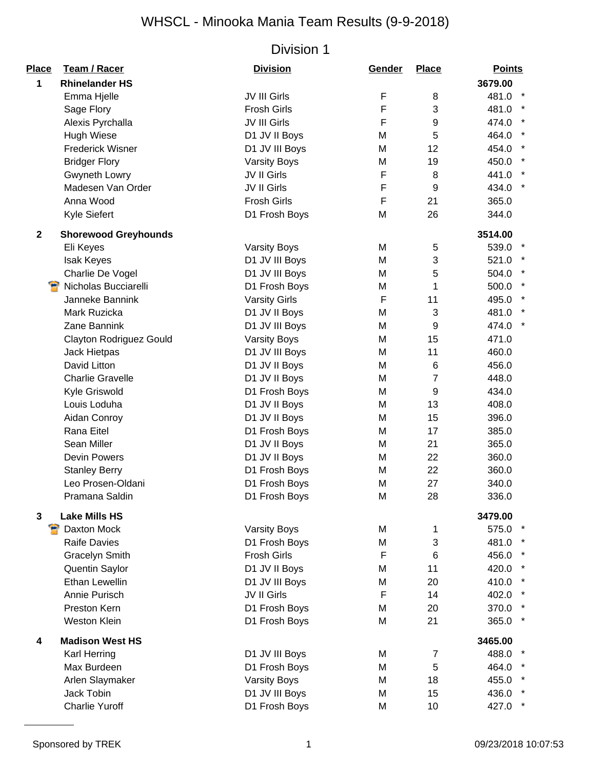| Place       | <b>Team / Racer</b>            | <b>Division</b>      | Gender | <b>Place</b>   | <b>Points</b> |
|-------------|--------------------------------|----------------------|--------|----------------|---------------|
| 1           | <b>Rhinelander HS</b>          |                      |        |                | 3679.00       |
|             | Emma Hjelle                    | JV III Girls         | F      | 8              | 481.0         |
|             | Sage Flory                     | <b>Frosh Girls</b>   | F      | 3              | 481.0         |
|             | Alexis Pyrchalla               | JV III Girls         | F      | 9              | 474.0         |
|             | <b>Hugh Wiese</b>              | D1 JV II Boys        | M      | 5              | 464.0         |
|             | <b>Frederick Wisner</b>        | D1 JV III Boys       | M      | 12             | 454.0         |
|             | <b>Bridger Flory</b>           | <b>Varsity Boys</b>  | M      | 19             | 450.0         |
|             | Gwyneth Lowry                  | JV II Girls          | F      | 8              | 441.0         |
|             | Madesen Van Order              | JV II Girls          | F      | 9              | 434.0 *       |
|             | Anna Wood                      | <b>Frosh Girls</b>   | F      | 21             | 365.0         |
|             | Kyle Siefert                   | D1 Frosh Boys        | M      | 26             | 344.0         |
| $\mathbf 2$ | <b>Shorewood Greyhounds</b>    |                      |        |                | 3514.00       |
|             | Eli Keyes                      | <b>Varsity Boys</b>  | M      | 5              | 539.0         |
|             | Isak Keyes                     | D1 JV III Boys       | M      | 3              | 521.0         |
|             | Charlie De Vogel               | D1 JV III Boys       | M      | 5              | 504.0         |
|             | Nicholas Bucciarelli           | D1 Frosh Boys        | M      | 1              | 500.0         |
|             | Janneke Bannink                | <b>Varsity Girls</b> | F      | 11             | 495.0         |
|             | Mark Ruzicka                   | D1 JV II Boys        | M      | 3              | 481.0         |
|             | Zane Bannink                   | D1 JV III Boys       | M      | 9              | 474.0         |
|             | <b>Clayton Rodriguez Gould</b> | <b>Varsity Boys</b>  | M      | 15             | 471.0         |
|             | Jack Hietpas                   | D1 JV III Boys       | M      | 11             | 460.0         |
|             | David Litton                   | D1 JV II Boys        | M      | 6              | 456.0         |
|             | <b>Charlie Gravelle</b>        | D1 JV II Boys        | M      | $\overline{7}$ | 448.0         |
|             | Kyle Griswold                  | D1 Frosh Boys        | M      | 9              | 434.0         |
|             | Louis Loduha                   | D1 JV II Boys        | M      | 13             | 408.0         |
|             | Aidan Conroy                   | D1 JV II Boys        | M      | 15             | 396.0         |
|             | Rana Eitel                     | D1 Frosh Boys        | M      | 17             | 385.0         |
|             | Sean Miller                    | D1 JV II Boys        | M      | 21             | 365.0         |
|             | <b>Devin Powers</b>            | D1 JV II Boys        | M      | 22             | 360.0         |
|             | <b>Stanley Berry</b>           | D1 Frosh Boys        | M      | 22             | 360.0         |
|             | Leo Prosen-Oldani              | D1 Frosh Boys        | M      | 27             | 340.0         |
|             | Pramana Saldin                 | D1 Frosh Boys        | M      | 28             | 336.0         |
| 3           | <b>Lake Mills HS</b>           |                      |        |                | 3479.00       |
|             | Daxton Mock                    | <b>Varsity Boys</b>  | M      | 1              | 575.0 *       |
|             | <b>Raife Davies</b>            | D1 Frosh Boys        | M      | $\sqrt{3}$     | 481.0         |
|             | Gracelyn Smith                 | <b>Frosh Girls</b>   | F      | 6              | 456.0 *       |
|             | Quentin Saylor                 | D1 JV II Boys        | M      | 11             | 420.0         |
|             | <b>Ethan Lewellin</b>          | D1 JV III Boys       | M      | 20             | 410.0         |
|             | Annie Purisch                  | JV II Girls          | F      | 14             | 402.0         |
|             | Preston Kern                   | D1 Frosh Boys        | M      | 20             | 370.0 *       |
|             | <b>Weston Klein</b>            | D1 Frosh Boys        | M      | 21             | 365.0         |
| 4           | <b>Madison West HS</b>         |                      |        |                | 3465.00       |
|             | Karl Herring                   | D1 JV III Boys       | M      | $\overline{7}$ | 488.0         |
|             | Max Burdeen                    | D1 Frosh Boys        | M      | 5              | 464.0         |
|             | Arlen Slaymaker                | <b>Varsity Boys</b>  | M      | 18             | 455.0         |
|             | Jack Tobin                     | D1 JV III Boys       | M      | 15             | 436.0         |
|             | <b>Charlie Yuroff</b>          | D1 Frosh Boys        | M      | 10             | 427.0         |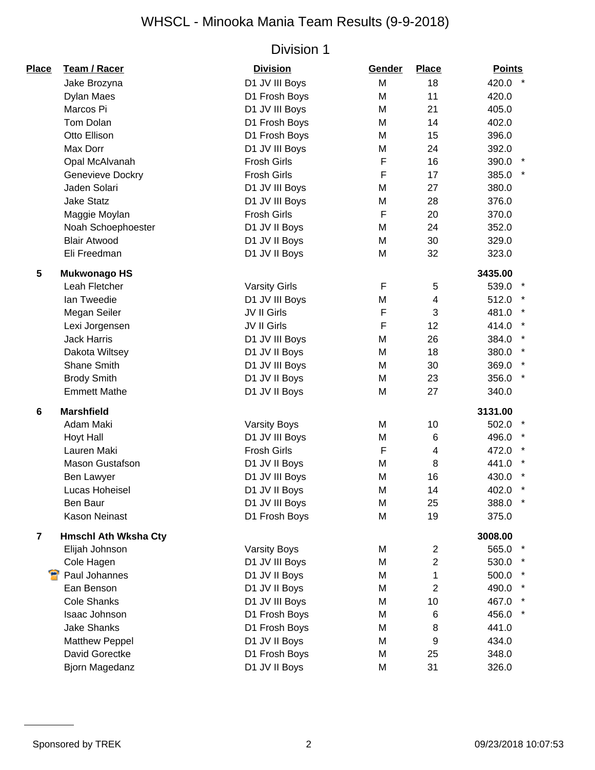| <b>Place</b>   | Team / Racer                | <b>Division</b>      | Gender | <b>Place</b>   | <b>Points</b>    |
|----------------|-----------------------------|----------------------|--------|----------------|------------------|
|                | Jake Brozyna                | D1 JV III Boys       | M      | 18             | 420.0 *          |
|                | Dylan Maes                  | D1 Frosh Boys        | M      | 11             | 420.0            |
|                | Marcos Pi                   | D1 JV III Boys       | M      | 21             | 405.0            |
|                | Tom Dolan                   | D1 Frosh Boys        | M      | 14             | 402.0            |
|                | Otto Ellison                | D1 Frosh Boys        | M      | 15             | 396.0            |
|                | Max Dorr                    | D1 JV III Boys       | M      | 24             | 392.0            |
|                | Opal McAlvanah              | <b>Frosh Girls</b>   | F      | 16             | 390.0 *          |
|                | Genevieve Dockry            | <b>Frosh Girls</b>   | F      | 17             | 385.0 *          |
|                | Jaden Solari                | D1 JV III Boys       | M      | 27             | 380.0            |
|                | <b>Jake Statz</b>           | D1 JV III Boys       | M      | 28             | 376.0            |
|                | Maggie Moylan               | <b>Frosh Girls</b>   | F      | 20             | 370.0            |
|                | Noah Schoephoester          | D1 JV II Boys        | M      | 24             | 352.0            |
|                | <b>Blair Atwood</b>         | D1 JV II Boys        | M      | 30             | 329.0            |
|                | Eli Freedman                | D1 JV II Boys        | M      | 32             | 323.0            |
| 5              | <b>Mukwonago HS</b>         |                      |        |                | 3435.00          |
|                | Leah Fletcher               | <b>Varsity Girls</b> | F      | 5              | 539.0            |
|                | Ian Tweedie                 | D1 JV III Boys       | M      | 4              | 512.0            |
|                | Megan Seiler                | JV II Girls          | F      | 3              | 481.0            |
|                | Lexi Jorgensen              | JV II Girls          | F      | 12             | 414.0            |
|                | <b>Jack Harris</b>          | D1 JV III Boys       | M      | 26             | 384.0            |
|                | Dakota Wiltsey              | D1 JV II Boys        | M      | 18             | 380.0            |
|                | Shane Smith                 | D1 JV III Boys       | M      | 30             | 369.0            |
|                | <b>Brody Smith</b>          | D1 JV II Boys        | M      | 23             | $\star$<br>356.0 |
|                | <b>Emmett Mathe</b>         | D1 JV II Boys        | M      | 27             | 340.0            |
| $\bf 6$        | <b>Marshfield</b>           |                      |        |                | 3131.00          |
|                | Adam Maki                   | <b>Varsity Boys</b>  | M      | 10             | 502.0            |
|                | Hoyt Hall                   | D1 JV III Boys       | M      | 6              | 496.0            |
|                | Lauren Maki                 | Frosh Girls          | F      | 4              | 472.0            |
|                | <b>Mason Gustafson</b>      | D1 JV II Boys        | M      | 8              | 441.0            |
|                | Ben Lawyer                  | D1 JV III Boys       | M      | 16             | 430.0            |
|                | Lucas Hoheisel              | D1 JV II Boys        | M      | 14             | 402.0            |
|                | Ben Baur                    | D1 JV III Boys       | M      | 25             | 388.0            |
|                | <b>Kason Neinast</b>        | D1 Frosh Boys        | M      | 19             | 375.0            |
| $\overline{7}$ | <b>Hmschl Ath Wksha Cty</b> |                      |        |                | 3008.00          |
|                | Elijah Johnson              | <b>Varsity Boys</b>  | M      | $\overline{2}$ | 565.0            |
|                | Cole Hagen                  | D1 JV III Boys       | M      | $\overline{2}$ | 530.0            |
|                | Paul Johannes               | D1 JV II Boys        | M      | 1              | 500.0            |
|                | Ean Benson                  | D1 JV II Boys        | M      | $\overline{2}$ | 490.0            |
|                | <b>Cole Shanks</b>          | D1 JV III Boys       | M      | 10             | 467.0            |
|                | Isaac Johnson               | D1 Frosh Boys        | M      | 6              | 456.0<br>$\star$ |
|                | <b>Jake Shanks</b>          | D1 Frosh Boys        | M      | 8              | 441.0            |
|                | <b>Matthew Peppel</b>       | D1 JV II Boys        | M      | 9              | 434.0            |
|                | David Gorectke              | D1 Frosh Boys        | M      | 25             | 348.0            |
|                | Bjorn Magedanz              | D1 JV II Boys        | M      | 31             | 326.0            |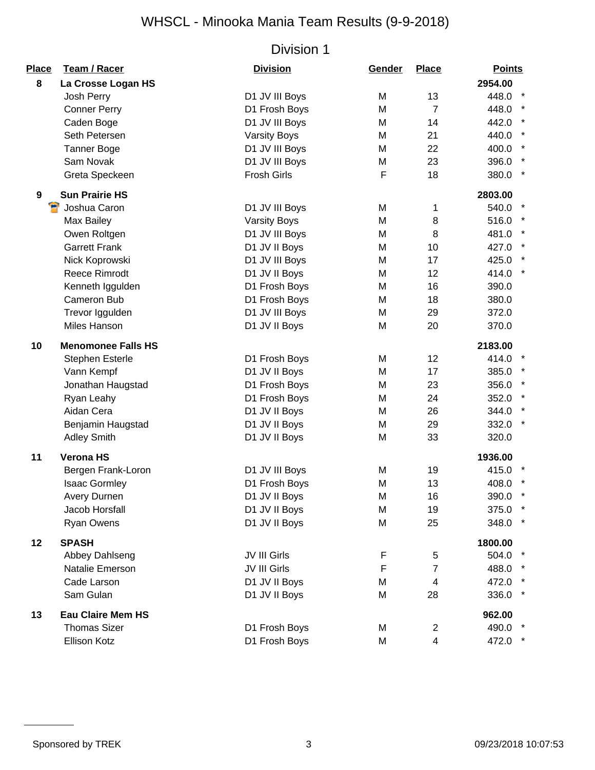| Place | Team / Racer              | <b>Division</b>     | Gender | <b>Place</b>   | <b>Points</b>    |
|-------|---------------------------|---------------------|--------|----------------|------------------|
| 8     | La Crosse Logan HS        |                     |        |                | 2954.00          |
|       | Josh Perry                | D1 JV III Boys      | M      | 13             | 448.0 *          |
|       | <b>Conner Perry</b>       | D1 Frosh Boys       | M      | $\overline{7}$ | $\star$<br>448.0 |
|       | Caden Boge                | D1 JV III Boys      | M      | 14             | $\star$<br>442.0 |
|       | Seth Petersen             | <b>Varsity Boys</b> | M      | 21             | 440.0            |
|       | <b>Tanner Boge</b>        | D1 JV III Boys      | M      | 22             | $\star$<br>400.0 |
|       | Sam Novak                 | D1 JV III Boys      | M      | 23             | 396.0            |
|       | Greta Speckeen            | <b>Frosh Girls</b>  | F      | 18             | 380.0 *          |
| 9     | <b>Sun Prairie HS</b>     |                     |        |                | 2803.00          |
| е     | Joshua Caron              | D1 JV III Boys      | M      | 1              | 540.0            |
|       | Max Bailey                | <b>Varsity Boys</b> | M      | 8              | 516.0            |
|       | Owen Roltgen              | D1 JV III Boys      | M      | 8              | 481.0            |
|       | <b>Garrett Frank</b>      | D1 JV II Boys       | M      | 10             | 427.0 *          |
|       | Nick Koprowski            | D1 JV III Boys      | M      | 17             | 425.0            |
|       | <b>Reece Rimrodt</b>      | D1 JV II Boys       | M      | 12             | $\star$<br>414.0 |
|       | Kenneth Iggulden          | D1 Frosh Boys       | M      | 16             | 390.0            |
|       | Cameron Bub               | D1 Frosh Boys       | M      | 18             | 380.0            |
|       | Trevor Iggulden           | D1 JV III Boys      | M      | 29             | 372.0            |
|       | Miles Hanson              | D1 JV II Boys       | M      | 20             | 370.0            |
| 10    | <b>Menomonee Falls HS</b> |                     |        |                | 2183.00          |
|       | Stephen Esterle           | D1 Frosh Boys       | M      | 12             | 414.0            |
|       | Vann Kempf                | D1 JV II Boys       | M      | 17             | 385.0            |
|       | Jonathan Haugstad         | D1 Frosh Boys       | M      | 23             | 356.0 *          |
|       | Ryan Leahy                | D1 Frosh Boys       | M      | 24             | 352.0            |
|       | Aidan Cera                | D1 JV II Boys       | M      | 26             | $\star$<br>344.0 |
|       | Benjamin Haugstad         | D1 JV II Boys       | M      | 29             | $\star$<br>332.0 |
|       | <b>Adley Smith</b>        | D1 JV II Boys       | M      | 33             | 320.0            |
| 11    | <b>Verona HS</b>          |                     |        |                | 1936.00          |
|       | Bergen Frank-Loron        | D1 JV III Boys      | M      | 19             | 415.0            |
|       | <b>Isaac Gormley</b>      | D1 Frosh Boys       | M      | 13             | 408.0            |
|       | Avery Durnen              | D1 JV II Boys       | M      | 16             | 390.0 *          |
|       | Jacob Horsfall            | D1 JV II Boys       | M      | 19             | 375.0 *          |
|       | Ryan Owens                | D1 JV II Boys       | M      | 25             | 348.0            |
| 12    | <b>SPASH</b>              |                     |        |                | 1800.00          |
|       | Abbey Dahlseng            | JV III Girls        | F      | 5              | 504.0            |
|       | Natalie Emerson           | JV III Girls        | F      | $\overline{7}$ | 488.0 *          |
|       | Cade Larson               | D1 JV II Boys       | M      | 4              | 472.0            |
|       | Sam Gulan                 | D1 JV II Boys       | M      | 28             | 336.0<br>$\star$ |
| 13    | <b>Eau Claire Mem HS</b>  |                     |        |                | 962.00           |
|       | <b>Thomas Sizer</b>       | D1 Frosh Boys       | M      | $\overline{2}$ | 490.0 *          |
|       | Ellison Kotz              | D1 Frosh Boys       | M      | $\overline{4}$ | 472.0 *          |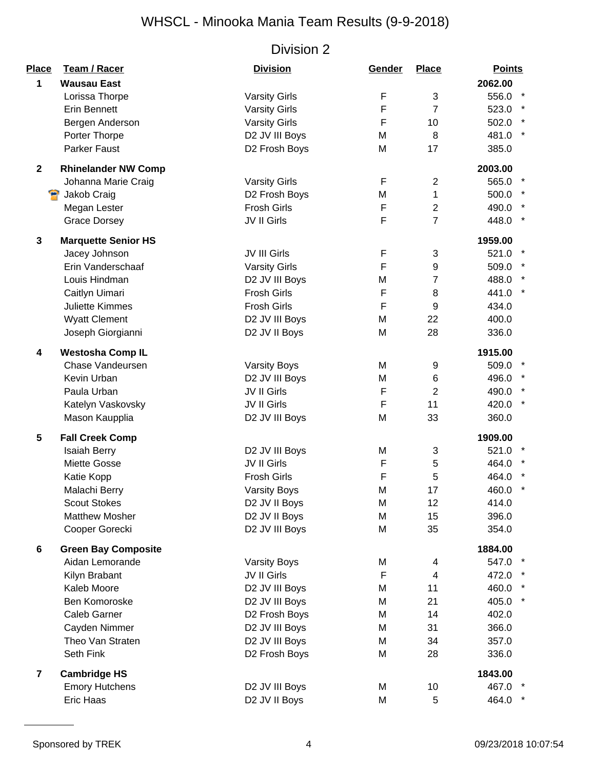| Place        | Team / Racer               | <b>Division</b>      | Gender      | <b>Place</b>     | <b>Points</b>    |
|--------------|----------------------------|----------------------|-------------|------------------|------------------|
| 1            | <b>Wausau East</b>         |                      |             |                  | 2062.00          |
|              | Lorissa Thorpe             | <b>Varsity Girls</b> | F           | 3                | 556.0 *          |
|              | <b>Erin Bennett</b>        | <b>Varsity Girls</b> | F           | $\overline{7}$   | 523.0 *          |
|              | Bergen Anderson            | <b>Varsity Girls</b> | $\mathsf F$ | 10               | 502.0 *          |
|              | Porter Thorpe              | D2 JV III Boys       | M           | 8                | 481.0            |
|              | <b>Parker Faust</b>        | D2 Frosh Boys        | M           | 17               | 385.0            |
| $\mathbf{2}$ | <b>Rhinelander NW Comp</b> |                      |             |                  | 2003.00          |
|              | Johanna Marie Craig        | <b>Varsity Girls</b> | F           | $\overline{2}$   | 565.0<br>$\star$ |
|              | Jakob Craig                | D2 Frosh Boys        | M           | $\mathbf{1}$     | 500.0            |
|              | Megan Lester               | <b>Frosh Girls</b>   | F           | $\mathbf{2}$     | 490.0            |
|              | <b>Grace Dorsey</b>        | JV II Girls          | F           | $\overline{7}$   | $\star$<br>448.0 |
| 3            | <b>Marquette Senior HS</b> |                      |             |                  | 1959.00          |
|              | Jacey Johnson              | JV III Girls         | F           | 3                | 521.0 *          |
|              | Erin Vanderschaaf          | <b>Varsity Girls</b> | F           | $\boldsymbol{9}$ | 509.0 *          |
|              | Louis Hindman              | D2 JV III Boys       | M           | $\overline{7}$   | 488.0 *          |
|              | Caitlyn Uimari             | <b>Frosh Girls</b>   | F           | 8                | 441.0            |
|              | <b>Juliette Kimmes</b>     | <b>Frosh Girls</b>   | $\mathsf F$ | 9                | 434.0            |
|              | <b>Wyatt Clement</b>       | D2 JV III Boys       | M           | 22               | 400.0            |
|              | Joseph Giorgianni          | D2 JV II Boys        | M           | 28               | 336.0            |
| 4            | <b>Westosha Comp IL</b>    |                      |             |                  | 1915.00          |
|              | Chase Vandeursen           | <b>Varsity Boys</b>  | M           | 9                | 509.0 *          |
|              | Kevin Urban                | D2 JV III Boys       | M           | 6                | 496.0            |
|              | Paula Urban                | JV II Girls          | F           | $\overline{2}$   | $\star$<br>490.0 |
|              | Katelyn Vaskovsky          | JV II Girls          | F           | 11               | $\star$<br>420.0 |
|              | Mason Kaupplia             | D2 JV III Boys       | M           | 33               | 360.0            |
| 5            | <b>Fall Creek Comp</b>     |                      |             |                  | 1909.00          |
|              | <b>Isaiah Berry</b>        | D2 JV III Boys       | M           | 3                | 521.0            |
|              | Miette Gosse               | JV II Girls          | F           | 5                | 464.0            |
|              | Katie Kopp                 | <b>Frosh Girls</b>   | F           | 5                | 464.0            |
|              | Malachi Berry              | <b>Varsity Boys</b>  | M           | 17               | 460.0            |
|              | <b>Scout Stokes</b>        | D2 JV II Boys        | M           | 12               | 414.0            |
|              | <b>Matthew Mosher</b>      | D2 JV II Boys        | M           | 15               | 396.0            |
|              | Cooper Gorecki             | D2 JV III Boys       | M           | 35               | 354.0            |
| 6            | <b>Green Bay Composite</b> |                      |             |                  | 1884.00          |
|              | Aidan Lemorande            | <b>Varsity Boys</b>  | M           | 4                | 547.0            |
|              | Kilyn Brabant              | JV II Girls          | F           | $\overline{4}$   | 472.0 *          |
|              | Kaleb Moore                | D2 JV III Boys       | M           | 11               | 460.0            |
|              | Ben Komoroske              | D2 JV III Boys       | M           | 21               | 405.0<br>$\star$ |
|              | Caleb Garner               | D2 Frosh Boys        | M           | 14               | 402.0            |
|              | Cayden Nimmer              | D2 JV III Boys       | M           | 31               | 366.0            |
|              | Theo Van Straten           | D2 JV III Boys       | M           | 34               | 357.0            |
|              | Seth Fink                  | D2 Frosh Boys        | M           | 28               | 336.0            |
| 7            | <b>Cambridge HS</b>        |                      |             |                  | 1843.00          |
|              | <b>Emory Hutchens</b>      | D2 JV III Boys       | M           | 10               | 467.0            |
|              | Eric Haas                  | D2 JV II Boys        | M           | 5                | 464.0            |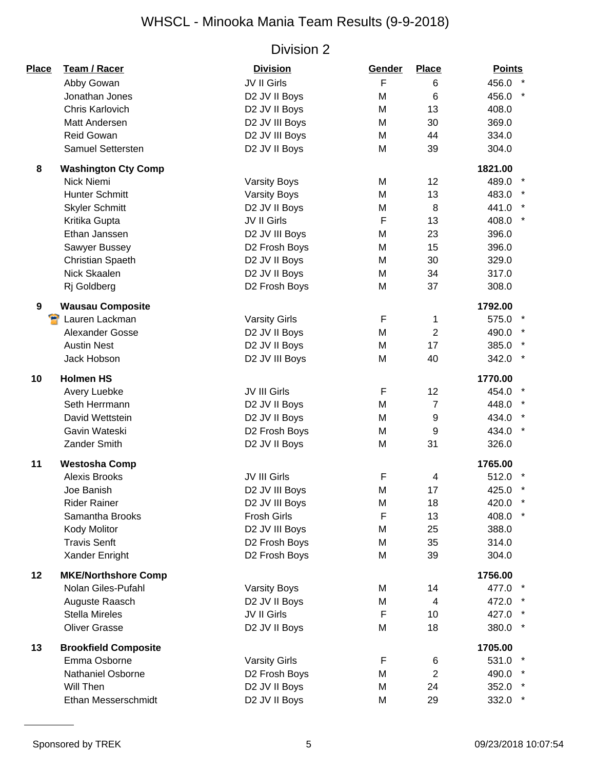| Place | Team / Racer                | <b>Division</b>      | Gender      | <b>Place</b>   | <b>Points</b>    |
|-------|-----------------------------|----------------------|-------------|----------------|------------------|
|       | Abby Gowan                  | JV II Girls          | F           | 6              | 456.0            |
|       | Jonathan Jones              | D2 JV II Boys        | M           | 6              | 456.0            |
|       | Chris Karlovich             | D2 JV II Boys        | M           | 13             | 408.0            |
|       | Matt Andersen               | D2 JV III Boys       | M           | 30             | 369.0            |
|       | <b>Reid Gowan</b>           | D2 JV III Boys       | M           | 44             | 334.0            |
|       | Samuel Settersten           | D2 JV II Boys        | M           | 39             | 304.0            |
| 8     | <b>Washington Cty Comp</b>  |                      |             |                | 1821.00          |
|       | Nick Niemi                  | <b>Varsity Boys</b>  | M           | 12             | 489.0            |
|       | <b>Hunter Schmitt</b>       | <b>Varsity Boys</b>  | M           | 13             | 483.0            |
|       | <b>Skyler Schmitt</b>       | D2 JV II Boys        | M           | 8              | 441.0            |
|       | Kritika Gupta               | JV II Girls          | $\mathsf F$ | 13             | $\star$<br>408.0 |
|       | Ethan Janssen               | D2 JV III Boys       | M           | 23             | 396.0            |
|       | Sawyer Bussey               | D2 Frosh Boys        | M           | 15             | 396.0            |
|       | Christian Spaeth            | D2 JV II Boys        | M           | 30             | 329.0            |
|       | Nick Skaalen                | D2 JV II Boys        | M           | 34             | 317.0            |
|       | Rj Goldberg                 | D2 Frosh Boys        | M           | 37             | 308.0            |
| 9     | <b>Wausau Composite</b>     |                      |             |                | 1792.00          |
|       | Lauren Lackman              | <b>Varsity Girls</b> | $\mathsf F$ | 1              | 575.0            |
|       | Alexander Gosse             | D2 JV II Boys        | M           | $\overline{2}$ | 490.0            |
|       | <b>Austin Nest</b>          | D2 JV II Boys        | M           | 17             | 385.0            |
|       | Jack Hobson                 | D2 JV III Boys       | M           | 40             | 342.0            |
| 10    | <b>Holmen HS</b>            |                      |             |                | 1770.00          |
|       | Avery Luebke                | JV III Girls         | $\mathsf F$ | 12             | 454.0            |
|       | Seth Herrmann               | D2 JV II Boys        | M           | $\overline{7}$ | 448.0            |
|       | David Wettstein             | D2 JV II Boys        | M           | 9              | 434.0            |
|       | Gavin Wateski               | D2 Frosh Boys        | M           | 9              | 434.0<br>$\star$ |
|       | Zander Smith                | D2 JV II Boys        | M           | 31             | 326.0            |
| 11    | <b>Westosha Comp</b>        |                      |             |                | 1765.00          |
|       | <b>Alexis Brooks</b>        | JV III Girls         | F           | 4              | 512.0            |
|       | Joe Banish                  | D2 JV III Boys       | M           | 17             | 425.0            |
|       | <b>Rider Rainer</b>         | D2 JV III Boys       | M           | 18             | 420.0            |
|       | Samantha Brooks             | <b>Frosh Girls</b>   | F           | 13             | 408.0            |
|       | <b>Kody Molitor</b>         | D2 JV III Boys       | M           | 25             | 388.0            |
|       | <b>Travis Senft</b>         | D2 Frosh Boys        | M           | 35             | 314.0            |
|       | Xander Enright              | D2 Frosh Boys        | M           | 39             | 304.0            |
| 12    | <b>MKE/Northshore Comp</b>  |                      |             |                | 1756.00          |
|       | Nolan Giles-Pufahl          | <b>Varsity Boys</b>  | M           | 14             | 477.0 *          |
|       | Auguste Raasch              | D2 JV II Boys        | M           | 4              | 472.0            |
|       | <b>Stella Mireles</b>       | JV II Girls          | F           | 10             | 427.0            |
|       | <b>Oliver Grasse</b>        | D2 JV II Boys        | M           | 18             | 380.0            |
| 13    | <b>Brookfield Composite</b> |                      |             |                | 1705.00          |
|       | Emma Osborne                | <b>Varsity Girls</b> | F           | 6              | 531.0            |
|       | <b>Nathaniel Osborne</b>    | D2 Frosh Boys        | M           | $\overline{2}$ | 490.0            |
|       | Will Then                   | D2 JV II Boys        | M           | 24             | 352.0            |
|       | Ethan Messerschmidt         | D2 JV II Boys        | M           | 29             | 332.0            |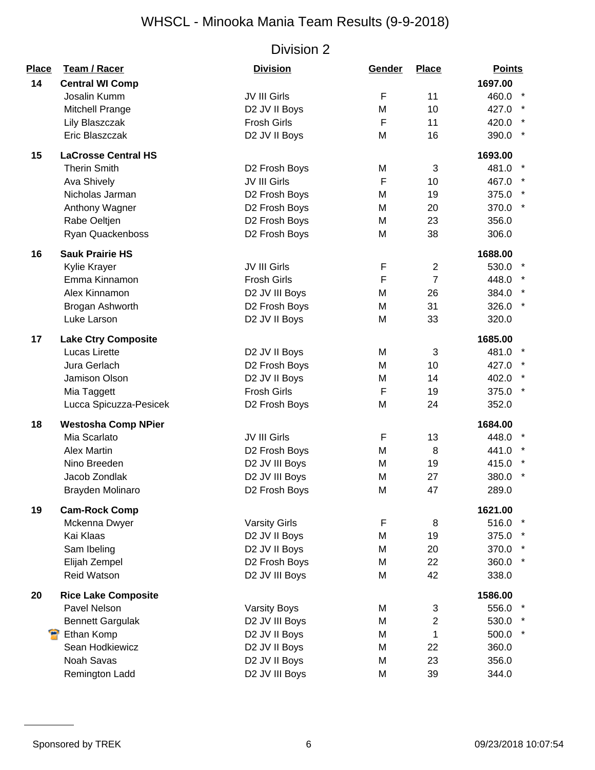| Place | Team / Racer               | <b>Division</b>      | Gender | <b>Place</b>   | <b>Points</b>     |
|-------|----------------------------|----------------------|--------|----------------|-------------------|
| 14    | <b>Central WI Comp</b>     |                      |        |                | 1697.00           |
|       | Josalin Kumm               | JV III Girls         | F      | 11             | 460.0             |
|       | Mitchell Prange            | D2 JV II Boys        | M      | 10             | 427.0             |
|       | Lily Blaszczak             | <b>Frosh Girls</b>   | F      | 11             | 420.0             |
|       | Eric Blaszczak             | D2 JV II Boys        | M      | 16             | 390.0             |
| 15    | <b>LaCrosse Central HS</b> |                      |        |                | 1693.00           |
|       | <b>Therin Smith</b>        | D2 Frosh Boys        | M      | 3              | 481.0             |
|       | Ava Shively                | JV III Girls         | F      | 10             | 467.0             |
|       | Nicholas Jarman            | D2 Frosh Boys        | M      | 19             | 375.0             |
|       | Anthony Wagner             | D2 Frosh Boys        | M      | 20             | $\star$<br>370.0  |
|       | Rabe Oeltjen               | D2 Frosh Boys        | M      | 23             | 356.0             |
|       | Ryan Quackenboss           | D2 Frosh Boys        | M      | 38             | 306.0             |
| 16    | <b>Sauk Prairie HS</b>     |                      |        |                | 1688.00           |
|       | Kylie Krayer               | JV III Girls         | F      | $\overline{2}$ | 530.0             |
|       | Emma Kinnamon              | <b>Frosh Girls</b>   | F      | $\overline{7}$ | 448.0             |
|       | Alex Kinnamon              | D2 JV III Boys       | M      | 26             | 384.0             |
|       | Brogan Ashworth            | D2 Frosh Boys        | M      | 31             | 326.0             |
|       | Luke Larson                | D2 JV II Boys        | M      | 33             | 320.0             |
| 17    | <b>Lake Ctry Composite</b> |                      |        |                | 1685.00           |
|       | <b>Lucas Lirette</b>       | D2 JV II Boys        | M      | 3              | 481.0             |
|       | Jura Gerlach               | D2 Frosh Boys        | M      | 10             | 427.0             |
|       | Jamison Olson              | D2 JV II Boys        | M      | 14             | 402.0             |
|       | Mia Taggett                | Frosh Girls          | F      | 19             | 375.0             |
|       | Lucca Spicuzza-Pesicek     | D2 Frosh Boys        | M      | 24             | 352.0             |
| 18    | <b>Westosha Comp NPier</b> |                      |        |                | 1684.00           |
|       | Mia Scarlato               | JV III Girls         | F      | 13             | 448.0             |
|       | <b>Alex Martin</b>         | D2 Frosh Boys        | M      | 8              | 441.0             |
|       | Nino Breeden               | D2 JV III Boys       | М      | 19             | 415.0             |
|       | Jacob Zondlak              | D2 JV III Boys       | M      | 27             | 380.0             |
|       | Brayden Molinaro           | D2 Frosh Boys        | M      | 47             | 289.0             |
| 19    | <b>Cam-Rock Comp</b>       |                      |        |                | 1621.00           |
|       | Mckenna Dwyer              | <b>Varsity Girls</b> | F      | 8              | 516.0             |
|       | Kai Klaas                  | D2 JV II Boys        | M      | 19             | 375.0             |
|       | Sam Ibeling                | D2 JV II Boys        | M      | 20             | 370.0             |
|       | Elijah Zempel              | D2 Frosh Boys        | M      | 22             | 360.0<br>$^\star$ |
|       | <b>Reid Watson</b>         | D2 JV III Boys       | M      | 42             | 338.0             |
| 20    | <b>Rice Lake Composite</b> |                      |        |                | 1586.00           |
|       | Pavel Nelson               | <b>Varsity Boys</b>  | М      | 3              | 556.0             |
|       | <b>Bennett Gargulak</b>    | D2 JV III Boys       | M      | $\overline{2}$ | 530.0             |
|       | Ethan Komp                 | D2 JV II Boys        | M      | $\mathbf 1$    | 500.0             |
|       | Sean Hodkiewicz            | D2 JV II Boys        | М      | 22             | 360.0             |
|       | Noah Savas                 | D2 JV II Boys        | M      | 23             | 356.0             |
|       | Remington Ladd             | D2 JV III Boys       | M      | 39             | 344.0             |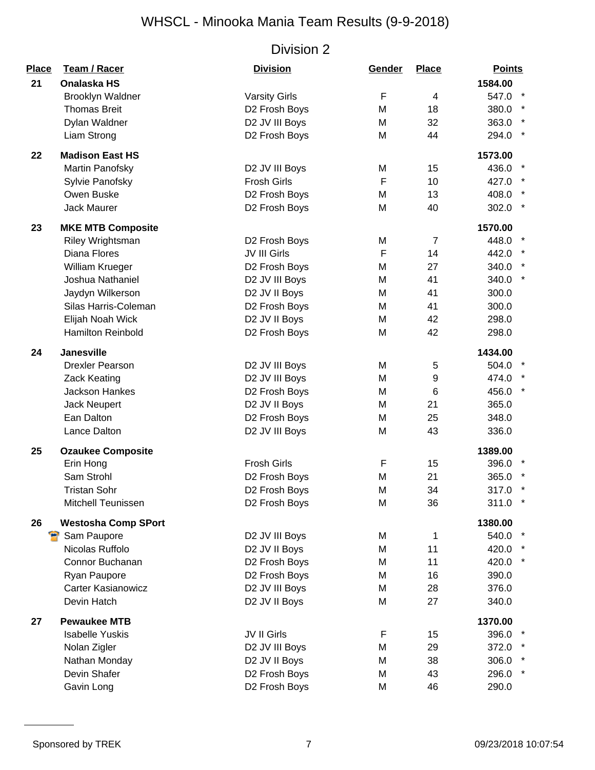| <b>Place</b> | Team / Racer               | <b>Division</b>      | Gender | <b>Place</b>   | <b>Points</b>    |
|--------------|----------------------------|----------------------|--------|----------------|------------------|
| 21           | <b>Onalaska HS</b>         |                      |        |                | 1584.00          |
|              | Brooklyn Waldner           | <b>Varsity Girls</b> | F      | 4              | $\star$<br>547.0 |
|              | <b>Thomas Breit</b>        | D2 Frosh Boys        | M      | 18             | 380.0            |
|              | Dylan Waldner              | D2 JV III Boys       | M      | 32             | 363.0            |
|              | Liam Strong                | D2 Frosh Boys        | M      | 44             | $\star$<br>294.0 |
| 22           | <b>Madison East HS</b>     |                      |        |                | 1573.00          |
|              | Martin Panofsky            | D2 JV III Boys       | M      | 15             | 436.0 *          |
|              | Sylvie Panofsky            | <b>Frosh Girls</b>   | F      | 10             | 427.0            |
|              | Owen Buske                 | D2 Frosh Boys        | M      | 13             | 408.0 *          |
|              | Jack Maurer                | D2 Frosh Boys        | M      | 40             | 302.0            |
| 23           | <b>MKE MTB Composite</b>   |                      |        |                | 1570.00          |
|              | Riley Wrightsman           | D2 Frosh Boys        | M      | $\overline{7}$ | 448.0            |
|              | <b>Diana Flores</b>        | JV III Girls         | F      | 14             | 442.0            |
|              | William Krueger            | D2 Frosh Boys        | M      | 27             | 340.0            |
|              | Joshua Nathaniel           | D2 JV III Boys       | M      | 41             | 340.0            |
|              | Jaydyn Wilkerson           | D2 JV II Boys        | M      | 41             | 300.0            |
|              | Silas Harris-Coleman       | D2 Frosh Boys        | M      | 41             | 300.0            |
|              | Elijah Noah Wick           | D2 JV II Boys        | M      | 42             | 298.0            |
|              | Hamilton Reinbold          | D2 Frosh Boys        | M      | 42             | 298.0            |
| 24           | <b>Janesville</b>          |                      |        |                | 1434.00          |
|              | <b>Drexler Pearson</b>     | D2 JV III Boys       | M      | 5              | 504.0            |
|              | <b>Zack Keating</b>        | D2 JV III Boys       | M      | 9              | 474.0 *          |
|              | <b>Jackson Hankes</b>      | D2 Frosh Boys        | M      | 6              | 456.0            |
|              | <b>Jack Neupert</b>        | D2 JV II Boys        | M      | 21             | 365.0            |
|              | Ean Dalton                 | D2 Frosh Boys        | M      | 25             | 348.0            |
|              | Lance Dalton               | D2 JV III Boys       | M      | 43             | 336.0            |
| 25           | <b>Ozaukee Composite</b>   |                      |        |                | 1389.00          |
|              | Erin Hong                  | <b>Frosh Girls</b>   | F      | 15             | 396.0            |
|              | Sam Strohl                 | D2 Frosh Boys        | M      | 21             | 365.0            |
|              | <b>Tristan Sohr</b>        | D2 Frosh Boys        | M      | 34             | 317.0            |
|              | <b>Mitchell Teunissen</b>  | D2 Frosh Boys        | M      | 36             | $\star$<br>311.0 |
| 26           | <b>Westosha Comp SPort</b> |                      |        |                | 1380.00          |
|              | Sam Paupore                | D2 JV III Boys       | M      | 1              | 540.0 *          |
|              | Nicolas Ruffolo            | D2 JV II Boys        | M      | 11             | 420.0            |
|              | Connor Buchanan            | D2 Frosh Boys        | M      | 11             | 420.0 *          |
|              | Ryan Paupore               | D2 Frosh Boys        | M      | 16             | 390.0            |
|              | <b>Carter Kasianowicz</b>  | D2 JV III Boys       | M      | 28             | 376.0            |
|              | Devin Hatch                | D2 JV II Boys        | M      | 27             | 340.0            |
| 27           | <b>Pewaukee MTB</b>        |                      |        |                | 1370.00          |
|              | <b>Isabelle Yuskis</b>     | JV II Girls          | F      | 15             | 396.0            |
|              | Nolan Zigler               | D2 JV III Boys       | M      | 29             | 372.0 *          |
|              | Nathan Monday              | D2 JV II Boys        | M      | 38             | 306.0            |
|              | Devin Shafer               | D2 Frosh Boys        | M      | 43             | $\star$<br>296.0 |
|              | Gavin Long                 | D2 Frosh Boys        | M      | 46             | 290.0            |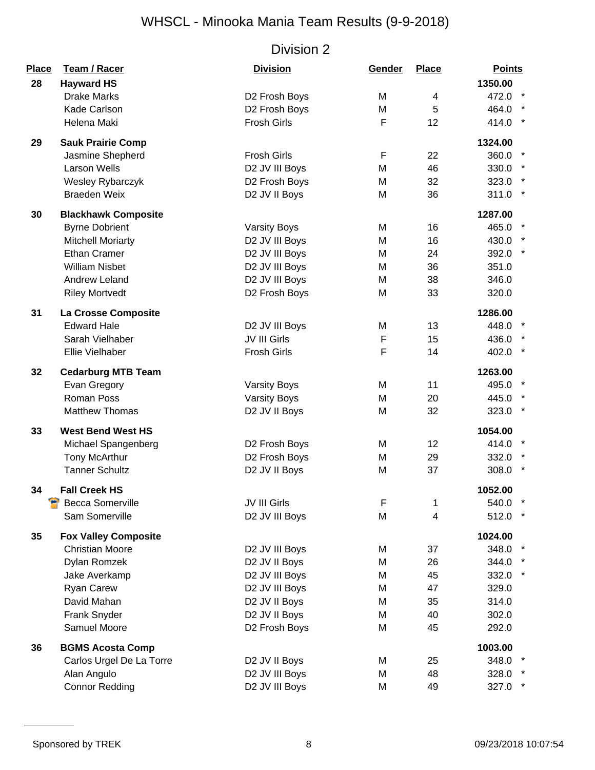| Place<br>28 | <b>Team / Racer</b><br><b>Hayward HS</b> | <b>Division</b>     | Gender | <b>Place</b>    | <b>Points</b><br>1350.00 |
|-------------|------------------------------------------|---------------------|--------|-----------------|--------------------------|
|             | <b>Drake Marks</b>                       | D2 Frosh Boys       | M      | 4               | 472.0 *                  |
|             | Kade Carlson                             | D2 Frosh Boys       | M      | 5               | 464.0                    |
|             | Helena Maki                              | <b>Frosh Girls</b>  | F      | 12 <sub>2</sub> | 414.0 *                  |
| 29          | <b>Sauk Prairie Comp</b>                 |                     |        |                 | 1324.00                  |
|             | Jasmine Shepherd                         | <b>Frosh Girls</b>  | F      | 22              | 360.0                    |
|             | <b>Larson Wells</b>                      | D2 JV III Boys      | M      | 46              | 330.0                    |
|             | Wesley Rybarczyk                         | D2 Frosh Boys       | M      | 32              | 323.0 *                  |
|             | <b>Braeden Weix</b>                      | D2 JV II Boys       | M      | 36              | $311.0$ *                |
| 30          | <b>Blackhawk Composite</b>               |                     |        |                 | 1287.00                  |
|             | <b>Byrne Dobrient</b>                    | <b>Varsity Boys</b> | M      | 16              | 465.0                    |
|             | <b>Mitchell Moriarty</b>                 | D2 JV III Boys      | M      | 16              | 430.0                    |
|             | <b>Ethan Cramer</b>                      | D2 JV III Boys      | M      | 24              | 392.0 *                  |
|             | <b>William Nisbet</b>                    | D2 JV III Boys      | M      | 36              | 351.0                    |
|             | <b>Andrew Leland</b>                     | D2 JV III Boys      | M      | 38              | 346.0                    |
|             | <b>Riley Mortvedt</b>                    | D2 Frosh Boys       | M      | 33              | 320.0                    |
| 31          | La Crosse Composite                      |                     |        |                 | 1286.00                  |
|             | <b>Edward Hale</b>                       | D2 JV III Boys      | M      | 13              | 448.0                    |
|             | Sarah Vielhaber                          | JV III Girls        | F      | 15              | 436.0 *                  |
|             | Ellie Vielhaber                          | <b>Frosh Girls</b>  | F      | 14              | 402.0                    |
| 32          | <b>Cedarburg MTB Team</b>                |                     |        |                 | 1263.00                  |
|             | Evan Gregory                             | <b>Varsity Boys</b> | M      | 11              | 495.0                    |
|             | Roman Poss                               | <b>Varsity Boys</b> | M      | 20              | 445.0 *                  |
|             | <b>Matthew Thomas</b>                    | D2 JV II Boys       | M      | 32              | $\star$<br>323.0         |
| 33          | <b>West Bend West HS</b>                 |                     |        |                 | 1054.00                  |
|             | Michael Spangenberg                      | D2 Frosh Boys       | M      | 12 <sup>2</sup> | 414.0                    |
|             | <b>Tony McArthur</b>                     | D2 Frosh Boys       | M      | 29              | 332.0                    |
|             | <b>Tanner Schultz</b>                    | D2 JV II Boys       | M      | 37              | $\ast$<br>308.0          |
| 34          | <b>Fall Creek HS</b>                     |                     |        |                 | 1052.00                  |
|             | <b>Becca Somerville</b>                  | JV III Girls        | F      | 1               | 540.0                    |
|             | Sam Somerville                           | D2 JV III Boys      | M      | 4               | 512.0 *                  |
| 35          | <b>Fox Valley Composite</b>              |                     |        |                 | 1024.00                  |
|             | <b>Christian Moore</b>                   | D2 JV III Boys      | M      | 37              | 348.0                    |
|             | Dylan Romzek                             | D2 JV II Boys       | M      | 26              | 344.0                    |
|             | Jake Averkamp                            | D2 JV III Boys      | M      | 45              | 332.0 *                  |
|             | Ryan Carew                               | D2 JV III Boys      | M      | 47              | 329.0                    |
|             | David Mahan                              | D2 JV II Boys       | M      | 35              | 314.0                    |
|             | Frank Snyder                             | D2 JV II Boys       | M      | 40              | 302.0                    |
|             | Samuel Moore                             | D2 Frosh Boys       | M      | 45              | 292.0                    |
| 36          | <b>BGMS Acosta Comp</b>                  |                     |        |                 | 1003.00                  |
|             | Carlos Urgel De La Torre                 | D2 JV II Boys       | M      | 25              | 348.0 *                  |
|             | Alan Angulo                              | D2 JV III Boys      | M      | 48              | 328.0                    |
|             | <b>Connor Redding</b>                    | D2 JV III Boys      | M      | 49              | 327.0 *                  |